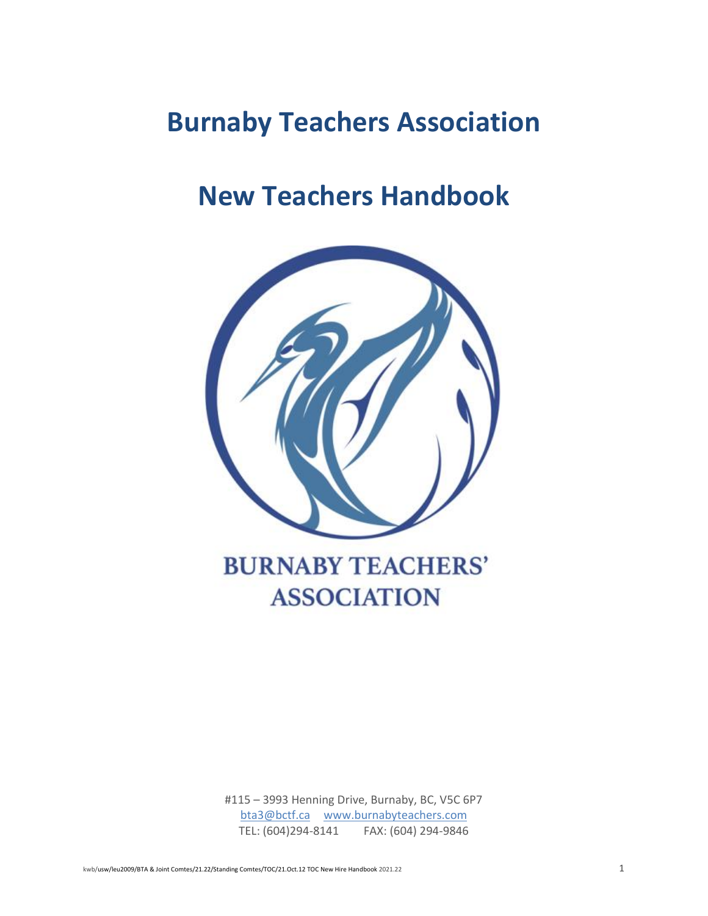# **Burnaby Teachers Association**

# **New Teachers Handbook**



# **BURNABY TEACHERS' ASSOCIATION**

#115 – 3993 Henning Drive, Burnaby, BC, V5C 6P7 [bta3@bctf.ca](mailto:bta3@bctf.ca) [www.burnabyteachers.com](http://www.burnabyteachers.com/) TEL: (604)294-8141 FAX: (604) 294-9846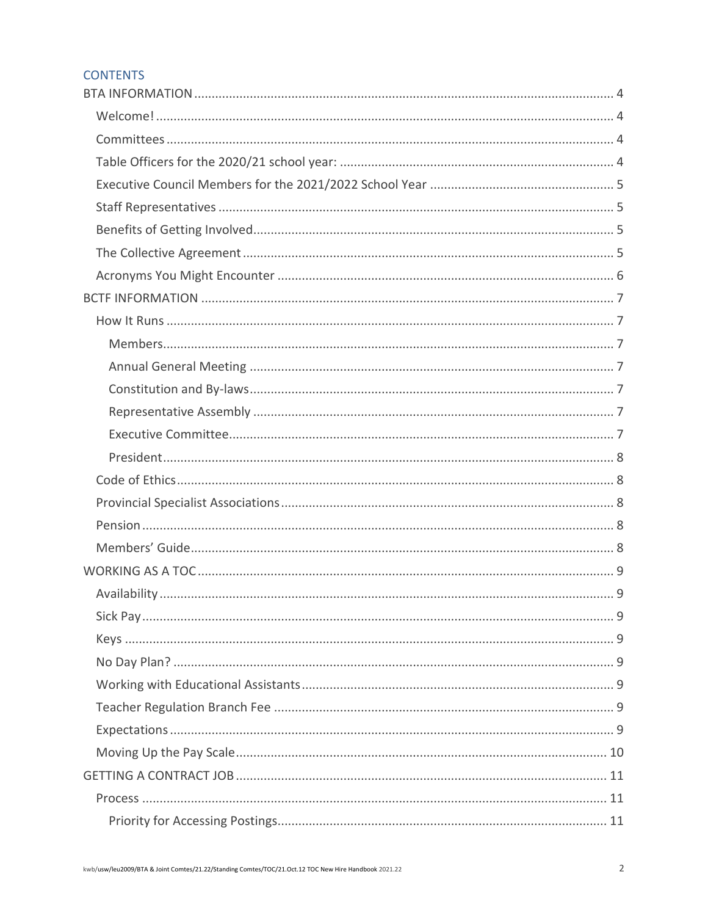# **CONTENTS**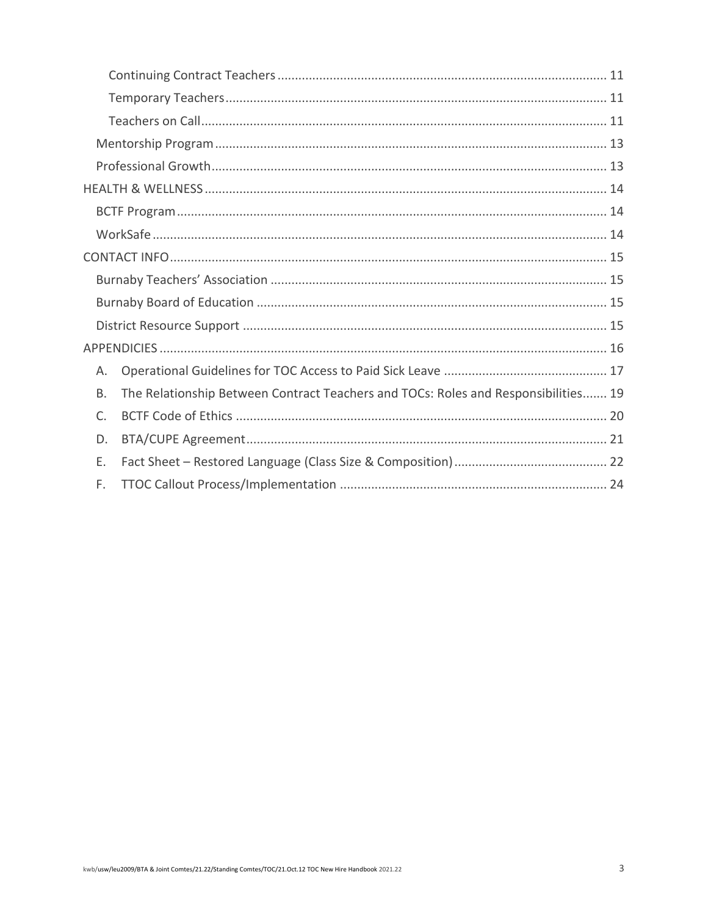| Α.          |                                                                                    |
|-------------|------------------------------------------------------------------------------------|
| <b>B.</b>   | The Relationship Between Contract Teachers and TOCs: Roles and Responsibilities 19 |
| $C_{\cdot}$ |                                                                                    |
| D.          |                                                                                    |
| Е.          |                                                                                    |
| F.          |                                                                                    |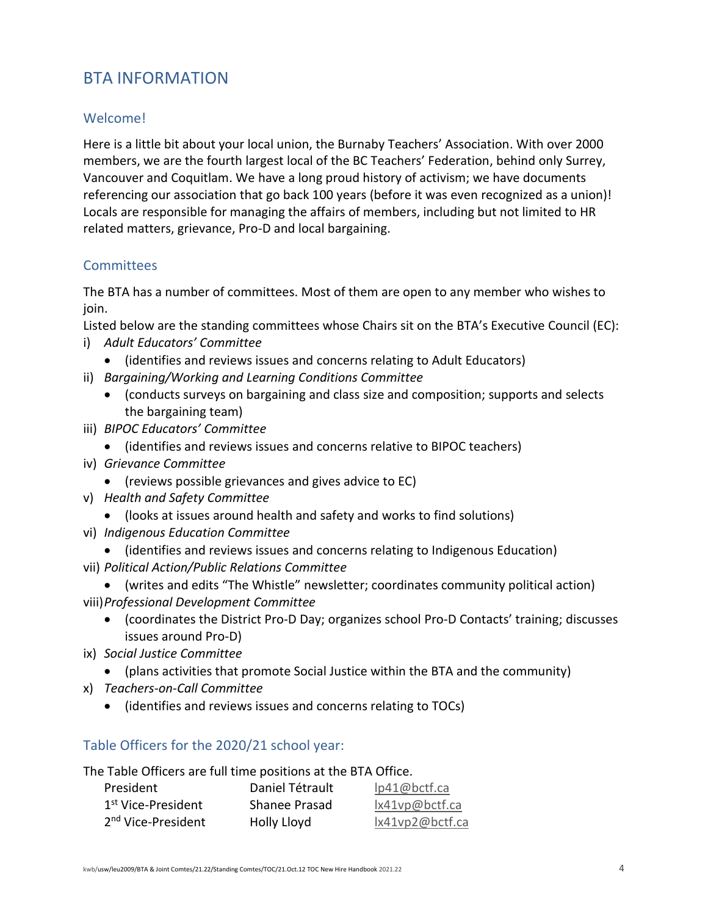# <span id="page-3-0"></span>BTA INFORMATION

# <span id="page-3-1"></span>Welcome!

Here is a little bit about your local union, the Burnaby Teachers' Association. With over 2000 members, we are the fourth largest local of the BC Teachers' Federation, behind only Surrey, Vancouver and Coquitlam. We have a long proud history of activism; we have documents referencing our association that go back 100 years (before it was even recognized as a union)! Locals are responsible for managing the affairs of members, including but not limited to HR related matters, grievance, Pro-D and local bargaining.

# <span id="page-3-2"></span>**Committees**

The BTA has a number of committees. Most of them are open to any member who wishes to join.

Listed below are the standing committees whose Chairs sit on the BTA's Executive Council (EC):

- i) *Adult Educators' Committee*
	- (identifies and reviews issues and concerns relating to Adult Educators)
- ii) *Bargaining/Working and Learning Conditions Committee*
	- (conducts surveys on bargaining and class size and composition; supports and selects the bargaining team)
- iii) *BIPOC Educators' Committee*
	- (identifies and reviews issues and concerns relative to BIPOC teachers)
- iv) *Grievance Committee*
	- (reviews possible grievances and gives advice to EC)
- v) *Health and Safety Committee*
	- (looks at issues around health and safety and works to find solutions)
- vi) *Indigenous Education Committee*
	- (identifies and reviews issues and concerns relating to Indigenous Education)
- vii) *Political Action/Public Relations Committee*
- (writes and edits "The Whistle" newsletter; coordinates community political action) viii)*Professional Development Committee*
	- (coordinates the District Pro-D Day; organizes school Pro-D Contacts' training; discusses issues around Pro-D)
- ix) *Social Justice Committee*
	- (plans activities that promote Social Justice within the BTA and the community)
- x) *Teachers-on-Call Committee*
	- (identifies and reviews issues and concerns relating to TOCs)

# <span id="page-3-3"></span>Table Officers for the 2020/21 school year:

The Table Officers are full time positions at the BTA Office.

| President                      | Daniel Tétrault | lp41@bctf.ca    |
|--------------------------------|-----------------|-----------------|
| 1 <sup>st</sup> Vice-President | Shanee Prasad   | lx41vp@bctf.ca  |
| 2 <sup>nd</sup> Vice-President | Holly Lloyd     | lx41vp2@bctf.ca |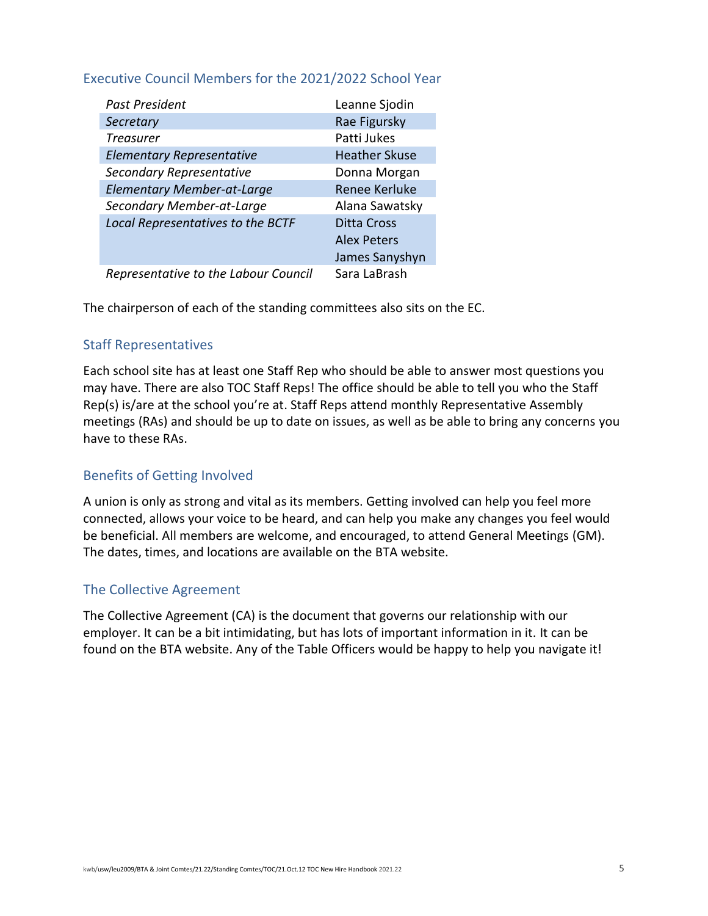# <span id="page-4-0"></span>Executive Council Members for the 2021/2022 School Year

| Past President                       | Leanne Sjodin        |
|--------------------------------------|----------------------|
| Secretary                            | Rae Figursky         |
| <b>Treasurer</b>                     | Patti Jukes          |
| <b>Elementary Representative</b>     | <b>Heather Skuse</b> |
| Secondary Representative             | Donna Morgan         |
| <b>Elementary Member-at-Large</b>    | <b>Renee Kerluke</b> |
| Secondary Member-at-Large            | Alana Sawatsky       |
| Local Representatives to the BCTF    | Ditta Cross          |
|                                      | <b>Alex Peters</b>   |
|                                      | James Sanyshyn       |
| Representative to the Labour Council | Sara LaBrash         |

The chairperson of each of the standing committees also sits on the EC.

# <span id="page-4-1"></span>Staff Representatives

Each school site has at least one Staff Rep who should be able to answer most questions you may have. There are also TOC Staff Reps! The office should be able to tell you who the Staff Rep(s) is/are at the school you're at. Staff Reps attend monthly Representative Assembly meetings (RAs) and should be up to date on issues, as well as be able to bring any concerns you have to these RAs.

### <span id="page-4-2"></span>Benefits of Getting Involved

A union is only as strong and vital as its members. Getting involved can help you feel more connected, allows your voice to be heard, and can help you make any changes you feel would be beneficial. All members are welcome, and encouraged, to attend General Meetings (GM). The dates, times, and locations are available on the BTA website.

### <span id="page-4-3"></span>The Collective Agreement

The Collective Agreement (CA) is the document that governs our relationship with our employer. It can be a bit intimidating, but has lots of important information in it. It can be found on the BTA website. Any of the Table Officers would be happy to help you navigate it!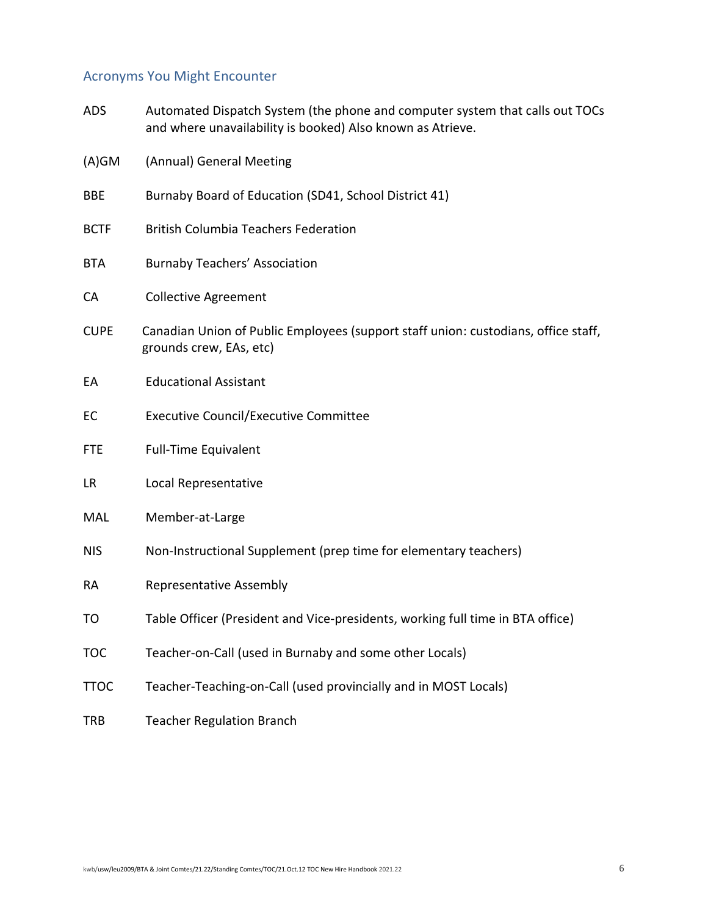# <span id="page-5-0"></span>Acronyms You Might Encounter

| <b>ADS</b>  | Automated Dispatch System (the phone and computer system that calls out TOCs<br>and where unavailability is booked) Also known as Atrieve. |
|-------------|--------------------------------------------------------------------------------------------------------------------------------------------|
| $(A)$ GM    | (Annual) General Meeting                                                                                                                   |
| <b>BBE</b>  | Burnaby Board of Education (SD41, School District 41)                                                                                      |
| <b>BCTF</b> | <b>British Columbia Teachers Federation</b>                                                                                                |
| <b>BTA</b>  | <b>Burnaby Teachers' Association</b>                                                                                                       |
| CA          | <b>Collective Agreement</b>                                                                                                                |
| <b>CUPE</b> | Canadian Union of Public Employees (support staff union: custodians, office staff,<br>grounds crew, EAs, etc)                              |
| EA          | <b>Educational Assistant</b>                                                                                                               |
| EC          | <b>Executive Council/Executive Committee</b>                                                                                               |
| <b>FTE</b>  | <b>Full-Time Equivalent</b>                                                                                                                |
| LR          | Local Representative                                                                                                                       |
| MAL         | Member-at-Large                                                                                                                            |
| <b>NIS</b>  | Non-Instructional Supplement (prep time for elementary teachers)                                                                           |
| <b>RA</b>   | Representative Assembly                                                                                                                    |
| TO          | Table Officer (President and Vice-presidents, working full time in BTA office)                                                             |
| <b>TOC</b>  | Teacher-on-Call (used in Burnaby and some other Locals)                                                                                    |
| <b>TTOC</b> | Teacher-Teaching-on-Call (used provincially and in MOST Locals)                                                                            |
| TRB         | <b>Teacher Regulation Branch</b>                                                                                                           |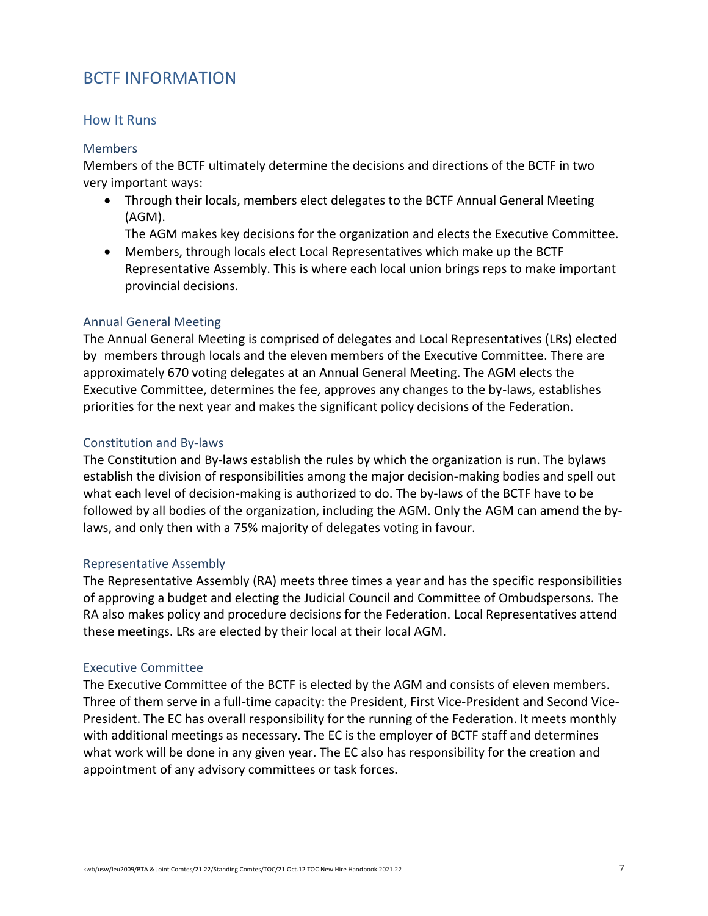# <span id="page-6-0"></span>BCTF INFORMATION

#### <span id="page-6-1"></span>How It Runs

#### <span id="page-6-2"></span>**Members**

Members of the BCTF ultimately determine the decisions and directions of the BCTF in two very important ways:

- Through their locals, members elect delegates to the BCTF Annual General Meeting (AGM).
	- The AGM makes key decisions for the organization and elects the Executive Committee.
- Members, through locals elect Local Representatives which make up the BCTF Representative Assembly. This is where each local union brings reps to make important provincial decisions.

#### <span id="page-6-3"></span>Annual General Meeting

The Annual General Meeting is comprised of delegates and Local Representatives (LRs) elected by members through locals and the eleven members of the Executive Committee. There are approximately 670 voting delegates at an Annual General Meeting. The AGM elects the Executive Committee, determines the fee, approves any changes to the by-laws, establishes priorities for the next year and makes the significant policy decisions of the Federation.

#### <span id="page-6-4"></span>Constitution and By-laws

The Constitution and By-laws establish the rules by which the organization is run. The bylaws establish the division of responsibilities among the major decision-making bodies and spell out what each level of decision-making is authorized to do. The by-laws of the BCTF have to be followed by all bodies of the organization, including the AGM. Only the AGM can amend the bylaws, and only then with a 75% majority of delegates voting in favour.

#### <span id="page-6-5"></span>Representative Assembly

The Representative Assembly (RA) meets three times a year and has the specific responsibilities of approving a budget and electing the Judicial Council and Committee of Ombudspersons. The RA also makes policy and procedure decisions for the Federation. Local Representatives attend these meetings. LRs are elected by their local at their local AGM.

### <span id="page-6-6"></span>Executive Committee

The Executive Committee of the BCTF is elected by the AGM and consists of eleven members. Three of them serve in a full-time capacity: the President, First Vice-President and Second Vice-President. The EC has overall responsibility for the running of the Federation. It meets monthly with additional meetings as necessary. The EC is the employer of BCTF staff and determines what work will be done in any given year. The EC also has responsibility for the creation and appointment of any advisory committees or task forces.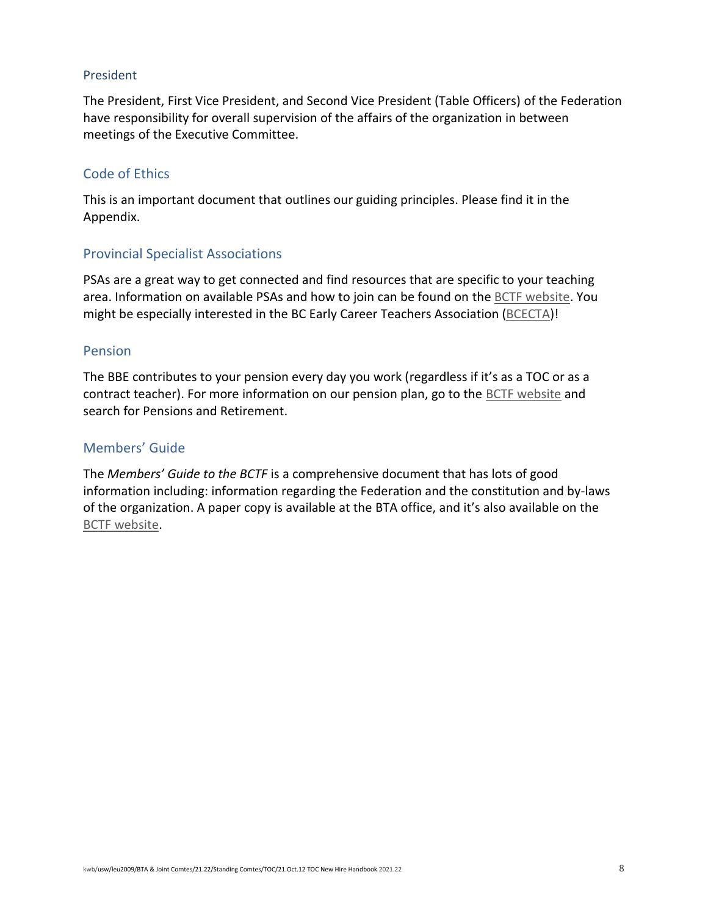#### <span id="page-7-0"></span>President

The President, First Vice President, and Second Vice President (Table Officers) of the Federation have responsibility for overall supervision of the affairs of the organization in between meetings of the Executive Committee.

#### <span id="page-7-1"></span>Code of Ethics

This is an important document that outlines our guiding principles. Please find it in the Appendix.

### <span id="page-7-2"></span>Provincial Specialist Associations

PSAs are a great way to get connected and find resources that are specific to your teaching area. Information on available PSAs and how to join can be found on the [BCTF website.](https://www.bctf.ca/services-guidance/professional-development-and-teaching-profession/join-a-provincial-specialist-association) You might be especially interested in the BC Early Career Teachers Association [\(BCECTA\)](https://bcecta.weebly.com/)!

#### <span id="page-7-3"></span>Pension

The BBE contributes to your pension every day you work (regardless if it's as a TOC or as a contract teacher). For more information on our pension plan, go to the [BCTF website](https://www.bctf.ca/services-guidance/pensions-and-retirement) and search for Pensions and Retirement.

### <span id="page-7-4"></span>Members' Guide

The *Members' Guide to the BCTF* is a comprehensive document that has lots of good information including: information regarding the Federation and the constitution and by-laws of the organization. A paper copy is available at the BTA office, and it's also available on the [BCTF website.](https://www.bctf.ca/docs/default-source/publications/print-publications/2021-22-members-guide.pdf)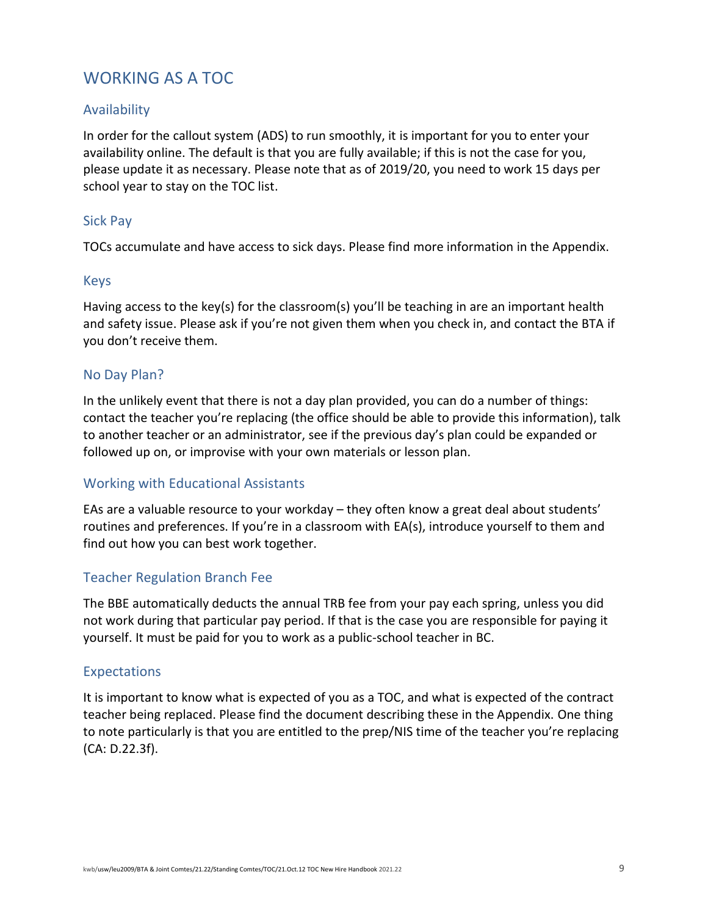# <span id="page-8-0"></span>WORKING AS A TOC

# <span id="page-8-1"></span>Availability

In order for the callout system (ADS) to run smoothly, it is important for you to enter your availability online. The default is that you are fully available; if this is not the case for you, please update it as necessary. Please note that as of 2019/20, you need to work 15 days per school year to stay on the TOC list.

# <span id="page-8-2"></span>Sick Pay

TOCs accumulate and have access to sick days. Please find more information in the Appendix.

### <span id="page-8-3"></span>Keys

Having access to the key(s) for the classroom(s) you'll be teaching in are an important health and safety issue. Please ask if you're not given them when you check in, and contact the BTA if you don't receive them.

# <span id="page-8-4"></span>No Day Plan?

In the unlikely event that there is not a day plan provided, you can do a number of things: contact the teacher you're replacing (the office should be able to provide this information), talk to another teacher or an administrator, see if the previous day's plan could be expanded or followed up on, or improvise with your own materials or lesson plan.

### <span id="page-8-5"></span>Working with Educational Assistants

EAs are a valuable resource to your workday – they often know a great deal about students' routines and preferences. If you're in a classroom with EA(s), introduce yourself to them and find out how you can best work together.

### <span id="page-8-6"></span>Teacher Regulation Branch Fee

The BBE automatically deducts the annual TRB fee from your pay each spring, unless you did not work during that particular pay period. If that is the case you are responsible for paying it yourself. It must be paid for you to work as a public-school teacher in BC.

### <span id="page-8-7"></span>Expectations

It is important to know what is expected of you as a TOC, and what is expected of the contract teacher being replaced. Please find the document describing these in the Appendix. One thing to note particularly is that you are entitled to the prep/NIS time of the teacher you're replacing (CA: D.22.3f).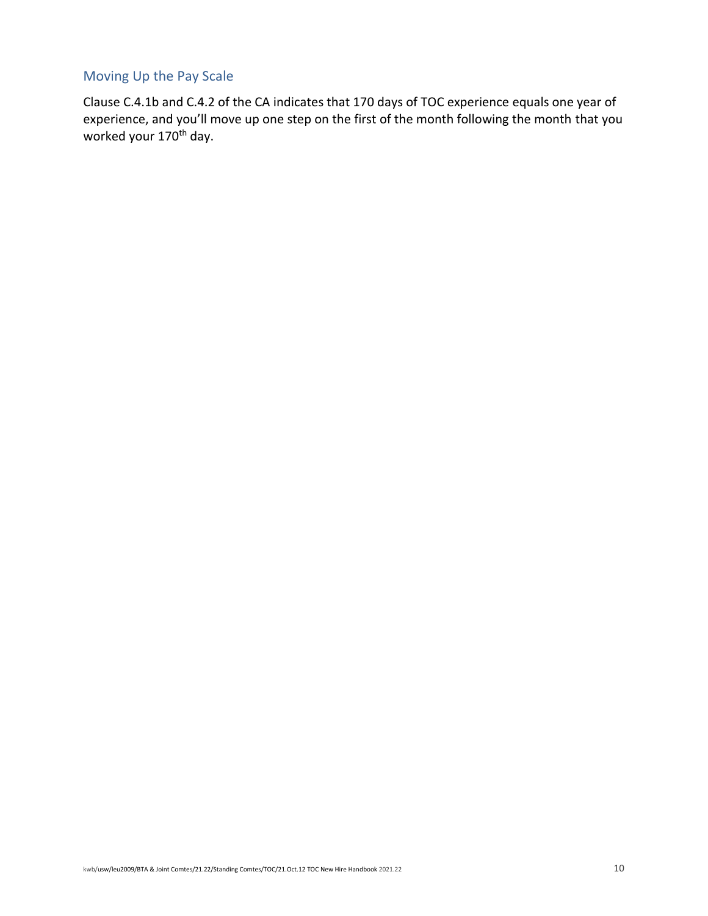# <span id="page-9-0"></span>Moving Up the Pay Scale

Clause C.4.1b and C.4.2 of the CA indicates that 170 days of TOC experience equals one year of experience, and you'll move up one step on the first of the month following the month that you worked your 170<sup>th</sup> day.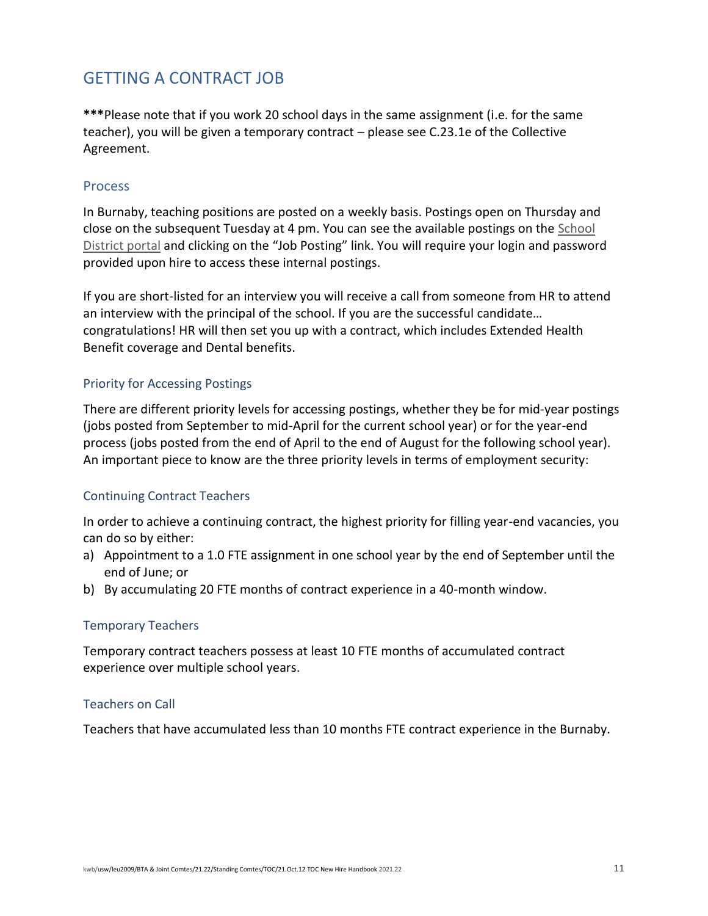# <span id="page-10-0"></span>GETTING A CONTRACT JOB

**\*\*\***Please note that if you work 20 school days in the same assignment (i.e. for the same teacher), you will be given a temporary contract – please see C.23.1e of the Collective Agreement.

#### <span id="page-10-1"></span>Process

In Burnaby, teaching positions are posted on a weekly basis. Postings open on Thursday and close on the subsequent Tuesday at 4 pm. You can see the available postings on the [School](https://portal.burnabyschools.ca/sd41-careers)  [District portal](https://portal.burnabyschools.ca/sd41-careers) and clicking on the "Job Posting" link. You will require your login and password provided upon hire to access these internal postings.

If you are short-listed for an interview you will receive a call from someone from HR to attend an interview with the principal of the school. If you are the successful candidate… congratulations! HR will then set you up with a contract, which includes Extended Health Benefit coverage and Dental benefits.

#### <span id="page-10-2"></span>Priority for Accessing Postings

There are different priority levels for accessing postings, whether they be for mid-year postings (jobs posted from September to mid-April for the current school year) or for the year-end process (jobs posted from the end of April to the end of August for the following school year). An important piece to know are the three priority levels in terms of employment security:

### <span id="page-10-3"></span>Continuing Contract Teachers

In order to achieve a continuing contract, the highest priority for filling year-end vacancies, you can do so by either:

- a) Appointment to a 1.0 FTE assignment in one school year by the end of September until the end of June; or
- b) By accumulating 20 FTE months of contract experience in a 40-month window.

#### <span id="page-10-4"></span>Temporary Teachers

Temporary contract teachers possess at least 10 FTE months of accumulated contract experience over multiple school years.

#### <span id="page-10-5"></span>Teachers on Call

Teachers that have accumulated less than 10 months FTE contract experience in the Burnaby.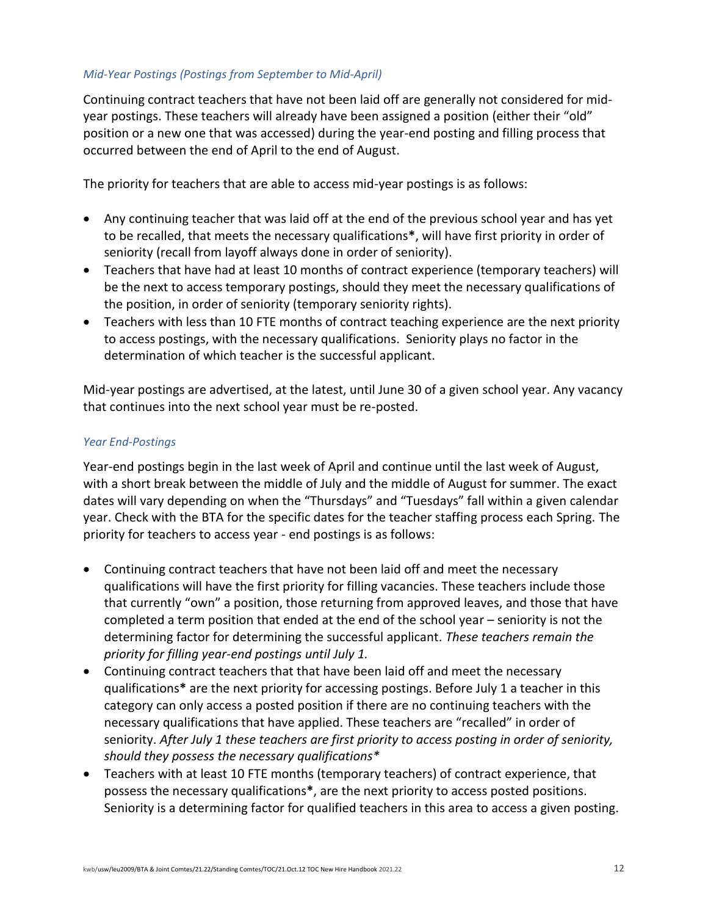#### *Mid-Year Postings (Postings from September to Mid-April)*

Continuing contract teachers that have not been laid off are generally not considered for midyear postings. These teachers will already have been assigned a position (either their "old" position or a new one that was accessed) during the year-end posting and filling process that occurred between the end of April to the end of August.

The priority for teachers that are able to access mid-year postings is as follows:

- Any continuing teacher that was laid off at the end of the previous school year and has yet to be recalled, that meets the necessary qualifications**\***, will have first priority in order of seniority (recall from layoff always done in order of seniority).
- Teachers that have had at least 10 months of contract experience (temporary teachers) will be the next to access temporary postings, should they meet the necessary qualifications of the position, in order of seniority (temporary seniority rights).
- Teachers with less than 10 FTE months of contract teaching experience are the next priority to access postings, with the necessary qualifications. Seniority plays no factor in the determination of which teacher is the successful applicant.

Mid-year postings are advertised, at the latest, until June 30 of a given school year. Any vacancy that continues into the next school year must be re-posted.

#### *Year End-Postings*

Year-end postings begin in the last week of April and continue until the last week of August, with a short break between the middle of July and the middle of August for summer. The exact dates will vary depending on when the "Thursdays" and "Tuesdays" fall within a given calendar year. Check with the BTA for the specific dates for the teacher staffing process each Spring. The priority for teachers to access year - end postings is as follows:

- Continuing contract teachers that have not been laid off and meet the necessary qualifications will have the first priority for filling vacancies. These teachers include those that currently "own" a position, those returning from approved leaves, and those that have completed a term position that ended at the end of the school year – seniority is not the determining factor for determining the successful applicant. *These teachers remain the priority for filling year-end postings until July 1.*
- Continuing contract teachers that that have been laid off and meet the necessary qualifications**\*** are the next priority for accessing postings. Before July 1 a teacher in this category can only access a posted position if there are no continuing teachers with the necessary qualifications that have applied. These teachers are "recalled" in order of seniority. *After July 1 these teachers are first priority to access posting in order of seniority, should they possess the necessary qualifications\**
- Teachers with at least 10 FTE months (temporary teachers) of contract experience, that possess the necessary qualifications**\***, are the next priority to access posted positions. Seniority is a determining factor for qualified teachers in this area to access a given posting.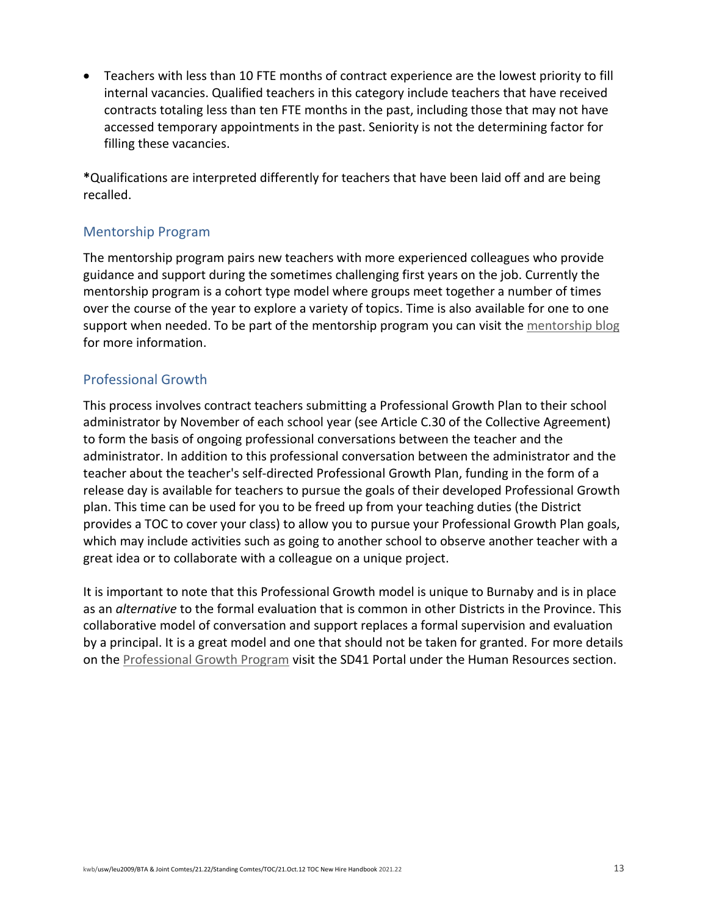• Teachers with less than 10 FTE months of contract experience are the lowest priority to fill internal vacancies. Qualified teachers in this category include teachers that have received contracts totaling less than ten FTE months in the past, including those that may not have accessed temporary appointments in the past. Seniority is not the determining factor for filling these vacancies.

**\***Qualifications are interpreted differently for teachers that have been laid off and are being recalled.

# <span id="page-12-0"></span>Mentorship Program

The mentorship program pairs new teachers with more experienced colleagues who provide guidance and support during the sometimes challenging first years on the job. Currently the mentorship program is a cohort type model where groups meet together a number of times over the course of the year to explore a variety of topics. Time is also available for one to one support when needed. To be part of the mentorship program you can visit th[e mentorship blog](https://blogs.sd41.bc.ca/mentorship/) for more information.

# <span id="page-12-1"></span>Professional Growth

This process involves contract teachers submitting a Professional Growth Plan to their school administrator by November of each school year (see Article C.30 of the Collective Agreement) to form the basis of ongoing professional conversations between the teacher and the administrator. In addition to this professional conversation between the administrator and the teacher about the teacher's self-directed Professional Growth Plan, funding in the form of a release day is available for teachers to pursue the goals of their developed Professional Growth plan. This time can be used for you to be freed up from your teaching duties (the District provides a TOC to cover your class) to allow you to pursue your Professional Growth Plan goals, which may include activities such as going to another school to observe another teacher with a great idea or to collaborate with a colleague on a unique project.

It is important to note that this Professional Growth model is unique to Burnaby and is in place as an *alternative* to the formal evaluation that is common in other Districts in the Province. This collaborative model of conversation and support replaces a formal supervision and evaluation by a principal. It is a great model and one that should not be taken for granted. For more details on the [Professional Growth Program](https://portal.sd41.bc.ca/human-resources/resources/professional-growth-plan) visit the SD41 Portal under the Human Resources section.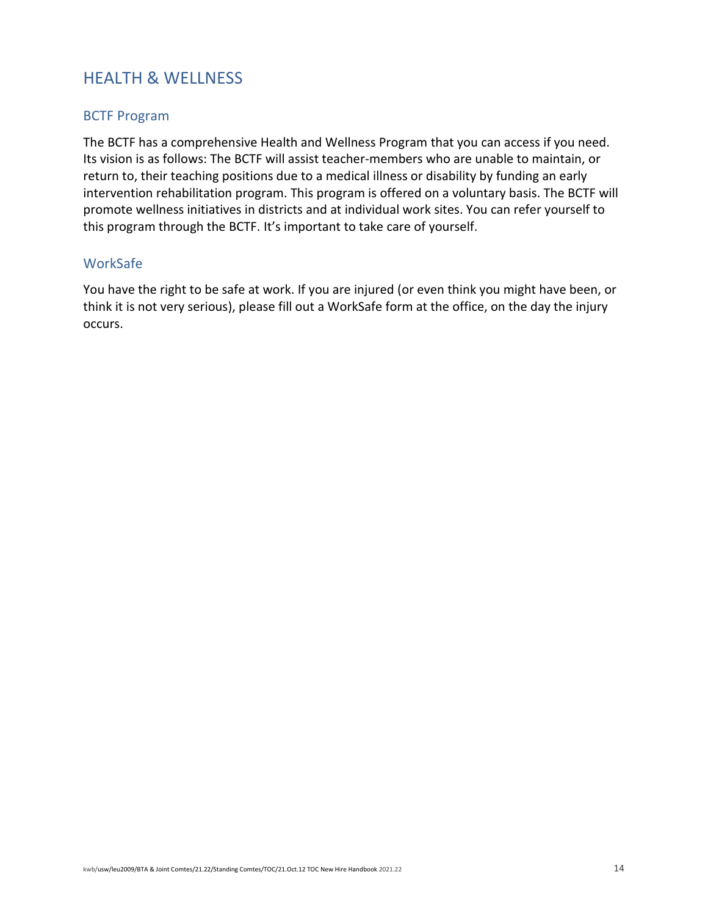# <span id="page-13-0"></span>HEALTH & WELLNESS

# <span id="page-13-1"></span>BCTF Program

The BCTF has a comprehensive Health and Wellness Program that you can access if you need. Its vision is as follows: The BCTF will assist teacher-members who are unable to maintain, or return to, their teaching positions due to a medical illness or disability by funding an early intervention rehabilitation program. This program is offered on a voluntary basis. The BCTF will promote wellness initiatives in districts and at individual work sites. You can refer yourself to this program through the BCTF. It's important to take care of yourself.

### <span id="page-13-2"></span>WorkSafe

You have the right to be safe at work. If you are injured (or even think you might have been, or think it is not very serious), please fill out a WorkSafe form at the office, on the day the injury occurs.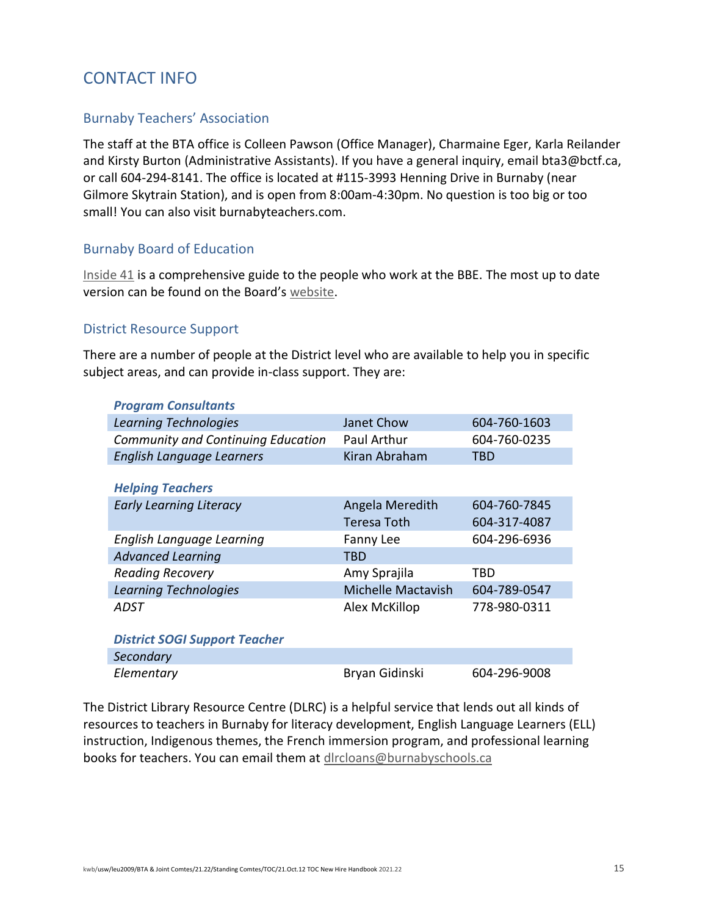# <span id="page-14-0"></span>CONTACT INFO

# <span id="page-14-1"></span>Burnaby Teachers' Association

The staff at the BTA office is Colleen Pawson (Office Manager), Charmaine Eger, Karla Reilander and Kirsty Burton (Administrative Assistants). If you have a general inquiry, email bta3@bctf.ca, or call 604-294-8141. The office is located at #115-3993 Henning Drive in Burnaby (near Gilmore Skytrain Station), and is open from 8:00am-4:30pm. No question is too big or too small! You can also visit burnabyteachers.com.

# <span id="page-14-2"></span>Burnaby Board of Education

[Inside 41](https://burnabyschools.ca/wp-content/uploads/2015/03/Inside41.pdf) is a comprehensive guide to the people who work at the BBE. The most up to date version can be found on the Board's [website.](https://burnabyschools.ca/wp-content/uploads/2015/03/Inside41.pdf)

### <span id="page-14-3"></span>District Resource Support

There are a number of people at the District level who are available to help you in specific subject areas, and can provide in-class support. They are:

| <b>Program Consultants</b>           |                           |              |
|--------------------------------------|---------------------------|--------------|
| <b>Learning Technologies</b>         | Janet Chow                | 604-760-1603 |
| Community and Continuing Education   | Paul Arthur               | 604-760-0235 |
| <b>English Language Learners</b>     | Kiran Abraham             | TBD          |
|                                      |                           |              |
| <b>Helping Teachers</b>              |                           |              |
| <b>Early Learning Literacy</b>       | Angela Meredith           | 604-760-7845 |
|                                      | Teresa Toth               | 604-317-4087 |
| English Language Learning            | Fanny Lee                 | 604-296-6936 |
| <b>Advanced Learning</b>             | TBD                       |              |
| <b>Reading Recovery</b>              | Amy Sprajila              | TBD          |
| <b>Learning Technologies</b>         | <b>Michelle Mactavish</b> | 604-789-0547 |
| ADST                                 | Alex McKillop             | 778-980-0311 |
|                                      |                           |              |
| <b>District SOGI Support Teacher</b> |                           |              |
| Secondary                            |                           |              |
| Elementary                           | Bryan Gidinski            | 604-296-9008 |

The District Library Resource Centre (DLRC) is a helpful service that lends out all kinds of resources to teachers in Burnaby for literacy development, English Language Learners (ELL) instruction, Indigenous themes, the French immersion program, and professional learning books for teachers. You can email them at [dlrcloans@burnabyschools.ca](file://///BTA-FP-01/P-Drive/OFFICE%20STAFF%20FILES/A.%20Admin%20Staff%20Shared%20Files/BTA%20&%20Joint%20Committees/21.22%20YEAR/5.%20Standing%20Committees/TOC%20Committee/Handbook/dlrcloans@burnabyschools.ca)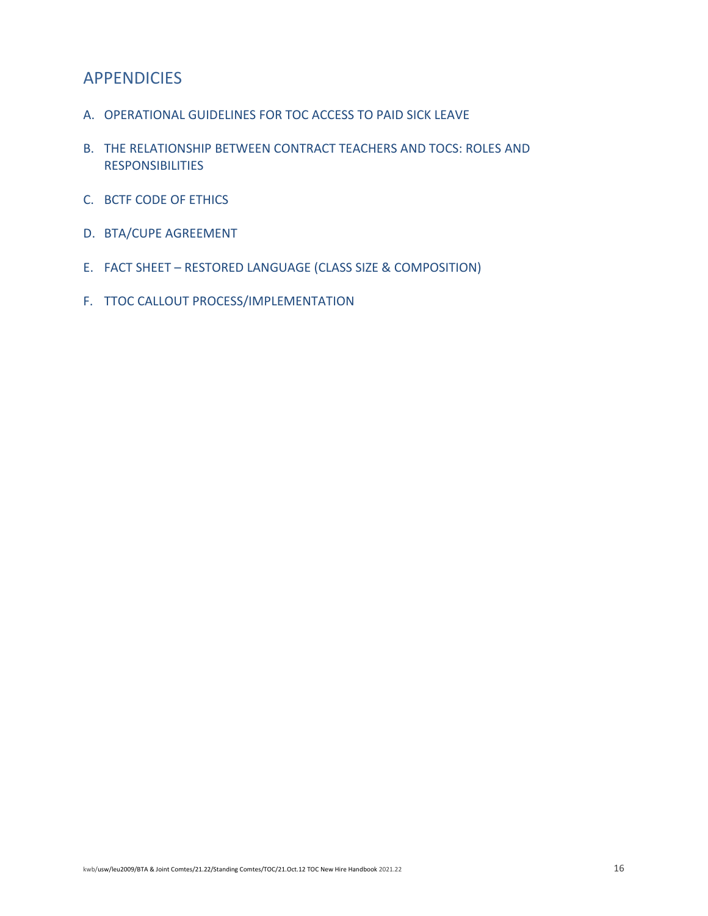# <span id="page-15-0"></span>APPENDICIES

- A. OPERATIONAL GUIDELINES FOR TOC ACCESS TO PAID SICK LEAVE
- B. THE RELATIONSHIP BETWEEN CONTRACT TEACHERS AND TOCS: ROLES AND RESPONSIBILITIES
- C. BCTF CODE OF ETHICS
- D. BTA/CUPE AGREEMENT
- E. FACT SHEET RESTORED LANGUAGE (CLASS SIZE & COMPOSITION)
- F. TTOC CALLOUT PROCESS/IMPLEMENTATION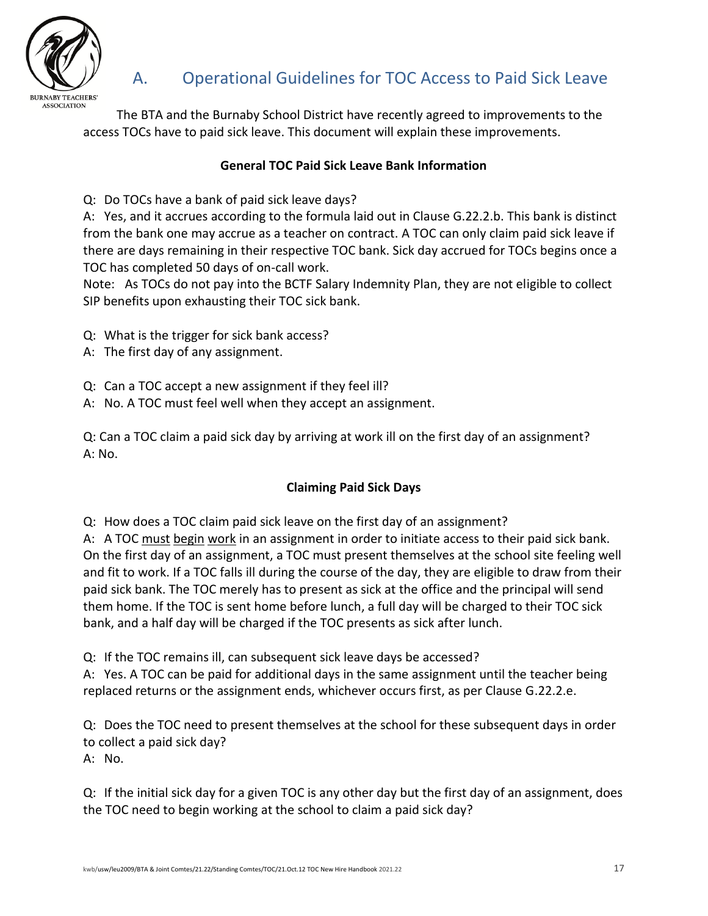

The BTA and the Burnaby School District have recently agreed to improvements to the access TOCs have to paid sick leave. This document will explain these improvements.

# <span id="page-16-0"></span>**General TOC Paid Sick Leave Bank Information**

Q: Do TOCs have a bank of paid sick leave days?

A: Yes, and it accrues according to the formula laid out in Clause G.22.2.b. This bank is distinct from the bank one may accrue as a teacher on contract. A TOC can only claim paid sick leave if there are days remaining in their respective TOC bank. Sick day accrued for TOCs begins once a TOC has completed 50 days of on-call work.

Note: As TOCs do not pay into the BCTF Salary Indemnity Plan, they are not eligible to collect SIP benefits upon exhausting their TOC sick bank.

- Q: What is the trigger for sick bank access?
- A: The first day of any assignment.
- Q: Can a TOC accept a new assignment if they feel ill?
- A: No. A TOC must feel well when they accept an assignment.

Q: Can a TOC claim a paid sick day by arriving at work ill on the first day of an assignment? A: No.

# **Claiming Paid Sick Days**

Q: How does a TOC claim paid sick leave on the first day of an assignment?

A: A TOC must begin work in an assignment in order to initiate access to their paid sick bank. On the first day of an assignment, a TOC must present themselves at the school site feeling well and fit to work. If a TOC falls ill during the course of the day, they are eligible to draw from their paid sick bank. The TOC merely has to present as sick at the office and the principal will send them home. If the TOC is sent home before lunch, a full day will be charged to their TOC sick bank, and a half day will be charged if the TOC presents as sick after lunch.

Q: If the TOC remains ill, can subsequent sick leave days be accessed?

A: Yes. A TOC can be paid for additional days in the same assignment until the teacher being replaced returns or the assignment ends, whichever occurs first, as per Clause G.22.2.e.

Q: Does the TOC need to present themselves at the school for these subsequent days in order to collect a paid sick day?

A: No.

Q: If the initial sick day for a given TOC is any other day but the first day of an assignment, does the TOC need to begin working at the school to claim a paid sick day?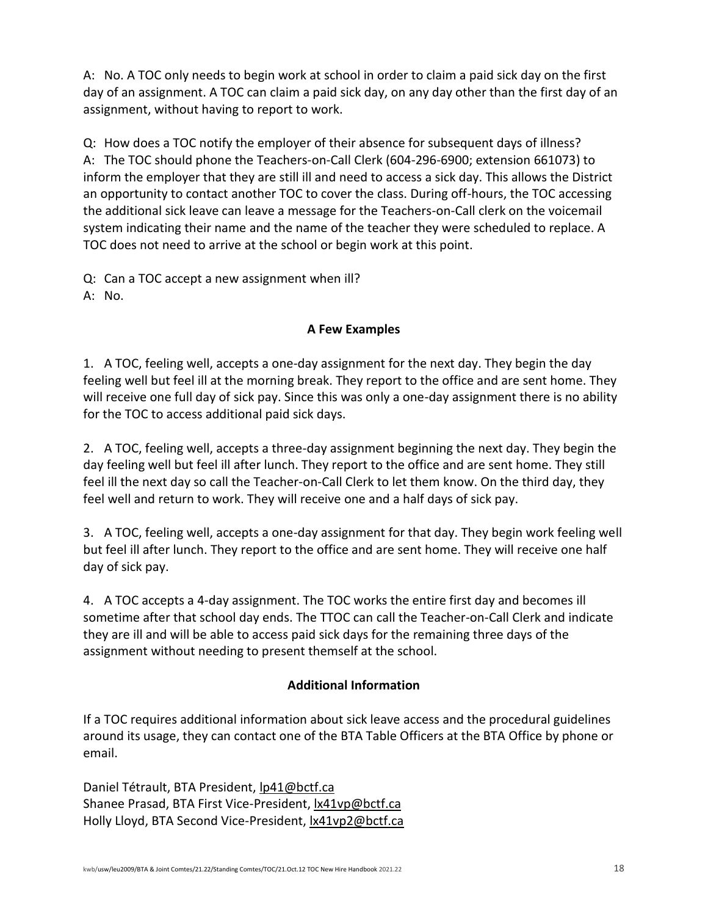A: No. A TOC only needs to begin work at school in order to claim a paid sick day on the first day of an assignment. A TOC can claim a paid sick day, on any day other than the first day of an assignment, without having to report to work.

Q: How does a TOC notify the employer of their absence for subsequent days of illness? A: The TOC should phone the Teachers-on-Call Clerk (604-296-6900; extension 661073) to inform the employer that they are still ill and need to access a sick day. This allows the District an opportunity to contact another TOC to cover the class. During off-hours, the TOC accessing the additional sick leave can leave a message for the Teachers-on-Call clerk on the voicemail system indicating their name and the name of the teacher they were scheduled to replace. A TOC does not need to arrive at the school or begin work at this point.

Q: Can a TOC accept a new assignment when ill?

A: No.

# **A Few Examples**

1. A TOC, feeling well, accepts a one-day assignment for the next day. They begin the day feeling well but feel ill at the morning break. They report to the office and are sent home. They will receive one full day of sick pay. Since this was only a one-day assignment there is no ability for the TOC to access additional paid sick days.

2. A TOC, feeling well, accepts a three-day assignment beginning the next day. They begin the day feeling well but feel ill after lunch. They report to the office and are sent home. They still feel ill the next day so call the Teacher-on-Call Clerk to let them know. On the third day, they feel well and return to work. They will receive one and a half days of sick pay.

3. A TOC, feeling well, accepts a one-day assignment for that day. They begin work feeling well but feel ill after lunch. They report to the office and are sent home. They will receive one half day of sick pay.

4. A TOC accepts a 4-day assignment. The TOC works the entire first day and becomes ill sometime after that school day ends. The TTOC can call the Teacher-on-Call Clerk and indicate they are ill and will be able to access paid sick days for the remaining three days of the assignment without needing to present themself at the school.

# **Additional Information**

If a TOC requires additional information about sick leave access and the procedural guidelines around its usage, they can contact one of the BTA Table Officers at the BTA Office by phone or email.

Daniel Tétrault, BTA President, [lp41@bctf.ca](mailto:lp41@bctf.ca) Shanee Prasad, BTA First Vice-President, [lx41vp@bctf.ca](mailto:lx41vp@bctf.ca) Holly Lloyd, BTA Second Vice-President[, lx41vp2@bctf.ca](mailto:lx41vp2@bctf.ca)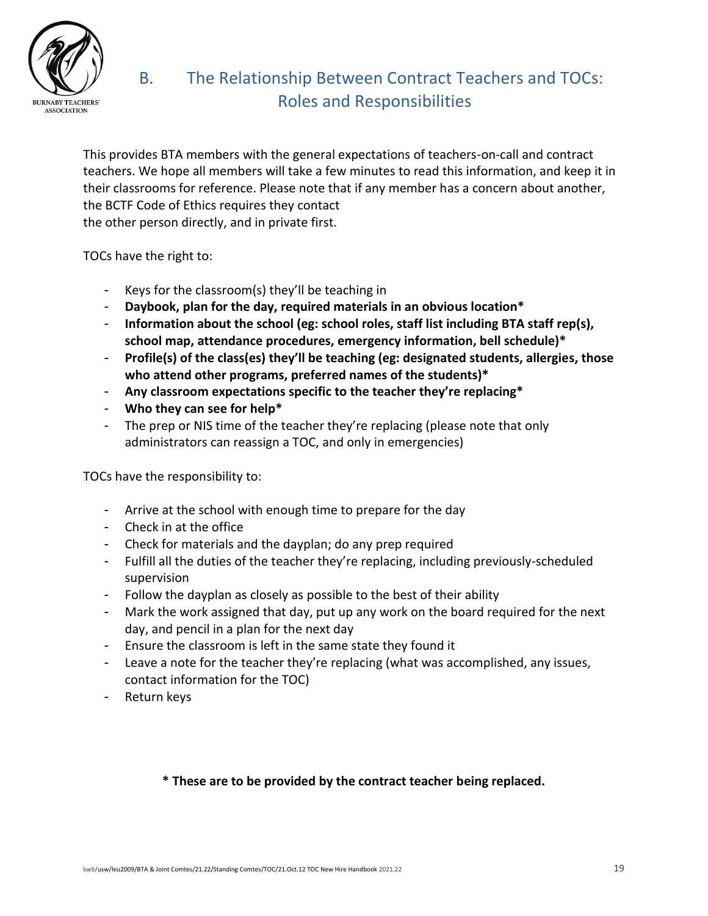

# <span id="page-18-0"></span>B. The Relationship Between Contract Teachers and TOCs: Roles and Responsibilities

This provides BTA members with the general expectations of teachers-on-call and contract teachers. We hope all members will take a few minutes to read this information, and keep it in their classrooms for reference. Please note that if any member has a concern about another, the BCTF Code of Ethics requires they contact the other person directly, and in private first.

- TOCs have the right to:
	- Keys for the classroom(s) they'll be teaching in
	- **Daybook, plan for the day, required materials in an obvious location\***
	- **Information about the school (eg: school roles, staff list including BTA staff rep(s), school map, attendance procedures, emergency information, bell schedule)\***
	- **Profile(s) of the class(es) they'll be teaching (eg: designated students, allergies, those who attend other programs, preferred names of the students)\***
	- **Any classroom expectations specific to the teacher they're replacing\***
	- **Who they can see for help\***
	- The prep or NIS time of the teacher they're replacing (please note that only administrators can reassign a TOC, and only in emergencies)

TOCs have the responsibility to:

- Arrive at the school with enough time to prepare for the day
- Check in at the office
- Check for materials and the dayplan; do any prep required
- Fulfill all the duties of the teacher they're replacing, including previously-scheduled supervision
- Follow the dayplan as closely as possible to the best of their ability
- Mark the work assigned that day, put up any work on the board required for the next day, and pencil in a plan for the next day
- Ensure the classroom is left in the same state they found it
- Leave a note for the teacher they're replacing (what was accomplished, any issues, contact information for the TOC)
- Return keys

# **\* These are to be provided by the contract teacher being replaced.**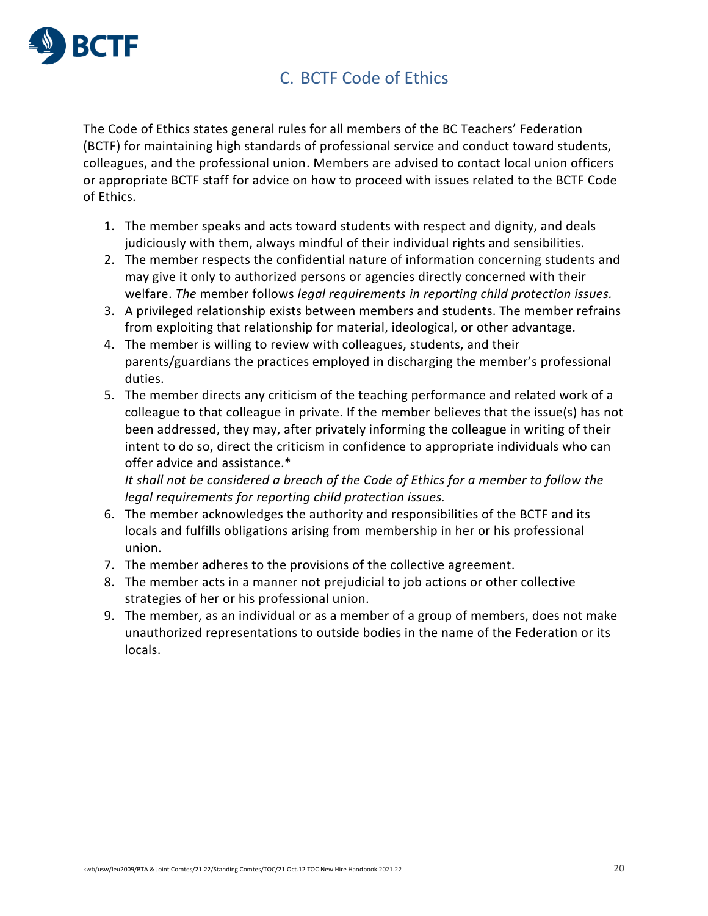

# <span id="page-19-0"></span>C. BCTF Code of Ethics

The Code of Ethics states general rules for all members of the BC Teachers' Federation (BCTF) for maintaining high standards of professional service and conduct toward students, colleagues, and the professional union. Members are advised to contact local union officers or appropriate BCTF staff for advice on how to proceed with issues related to the BCTF Code of Ethics.

- 1. The member speaks and acts toward students with respect and dignity, and deals judiciously with them, always mindful of their individual rights and sensibilities.
- 2. The member respects the confidential nature of information concerning students and may give it only to authorized persons or agencies directly concerned with their welfare. *The* member follows *legal requirements in reporting child protection issues.*
- 3. A privileged relationship exists between members and students. The member refrains from exploiting that relationship for material, ideological, or other advantage.
- 4. The member is willing to review with colleagues, students, and their parents/guardians the practices employed in discharging the member's professional duties.
- 5. The member directs any criticism of the teaching performance and related work of a colleague to that colleague in private. If the member believes that the issue(s) has not been addressed, they may, after privately informing the colleague in writing of their intent to do so, direct the criticism in confidence to appropriate individuals who can offer advice and assistance.\*

*It shall not be considered a breach of the Code of Ethics for a member to follow the legal requirements for reporting child protection issues.*

- 6. The member acknowledges the authority and responsibilities of the BCTF and its locals and fulfills obligations arising from membership in her or his professional union.
- 7. The member adheres to the provisions of the collective agreement.
- 8. The member acts in a manner not prejudicial to job actions or other collective strategies of her or his professional union.
- 9. The member, as an individual or as a member of a group of members, does not make unauthorized representations to outside bodies in the name of the Federation or its locals.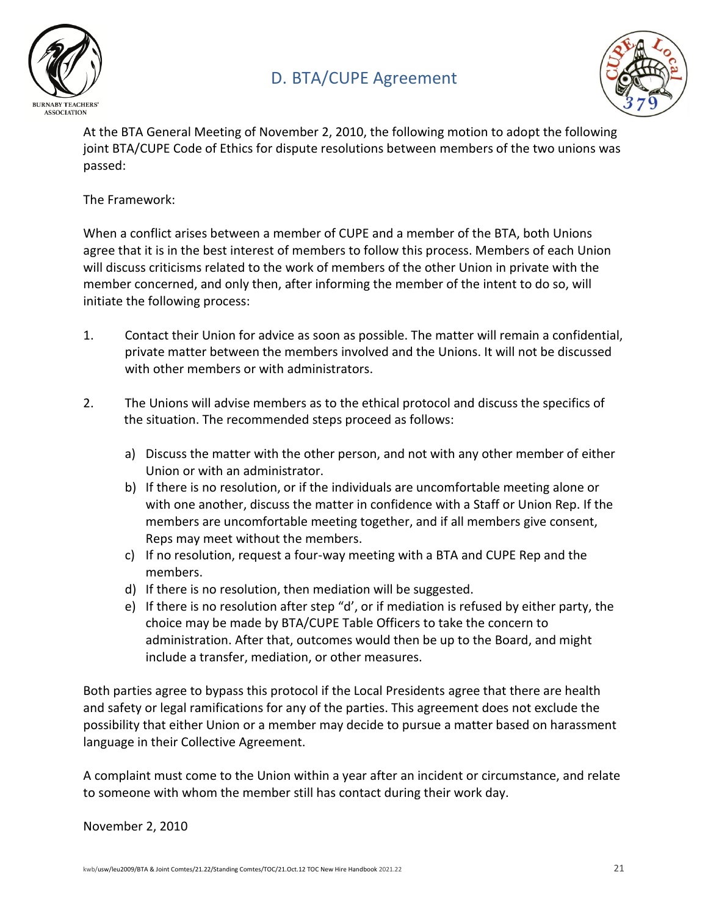

# <span id="page-20-0"></span>D. BTA/CUPE Agreement



At the BTA General Meeting of November 2, 2010, the following motion to adopt the following joint BTA/CUPE Code of Ethics for dispute resolutions between members of the two unions was passed:

# The Framework:

When a conflict arises between a member of CUPE and a member of the BTA, both Unions agree that it is in the best interest of members to follow this process. Members of each Union will discuss criticisms related to the work of members of the other Union in private with the member concerned, and only then, after informing the member of the intent to do so, will initiate the following process:

- 1. Contact their Union for advice as soon as possible. The matter will remain a confidential, private matter between the members involved and the Unions. It will not be discussed with other members or with administrators.
- 2. The Unions will advise members as to the ethical protocol and discuss the specifics of the situation. The recommended steps proceed as follows:
	- a) Discuss the matter with the other person, and not with any other member of either Union or with an administrator.
	- b) If there is no resolution, or if the individuals are uncomfortable meeting alone or with one another, discuss the matter in confidence with a Staff or Union Rep. If the members are uncomfortable meeting together, and if all members give consent, Reps may meet without the members.
	- c) If no resolution, request a four-way meeting with a BTA and CUPE Rep and the members.
	- d) If there is no resolution, then mediation will be suggested.
	- e) If there is no resolution after step "d', or if mediation is refused by either party, the choice may be made by BTA/CUPE Table Officers to take the concern to administration. After that, outcomes would then be up to the Board, and might include a transfer, mediation, or other measures.

Both parties agree to bypass this protocol if the Local Presidents agree that there are health and safety or legal ramifications for any of the parties. This agreement does not exclude the possibility that either Union or a member may decide to pursue a matter based on harassment language in their Collective Agreement.

A complaint must come to the Union within a year after an incident or circumstance, and relate to someone with whom the member still has contact during their work day.

### November 2, 2010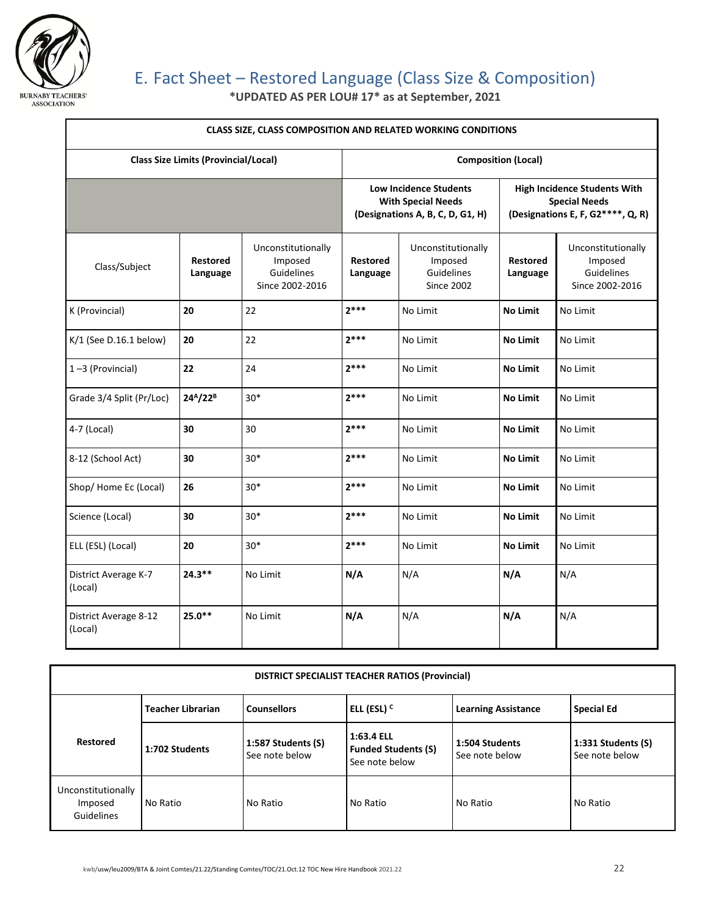

# <span id="page-21-0"></span>E. Fact Sheet – Restored Language (Class Size & Composition)

**\*UPDATED AS PER LOU# 17\* as at September, 2021**

| <b>CLASS SIZE, CLASS COMPOSITION AND RELATED WORKING CONDITIONS</b> |                                  |                                                                                                |                             |                                                                                                  |                             |                                                                |
|---------------------------------------------------------------------|----------------------------------|------------------------------------------------------------------------------------------------|-----------------------------|--------------------------------------------------------------------------------------------------|-----------------------------|----------------------------------------------------------------|
| <b>Class Size Limits (Provincial/Local)</b>                         |                                  |                                                                                                | <b>Composition (Local)</b>  |                                                                                                  |                             |                                                                |
|                                                                     |                                  | <b>Low Incidence Students</b><br><b>With Special Needs</b><br>(Designations A, B, C, D, G1, H) |                             | <b>High Incidence Students With</b><br><b>Special Needs</b><br>(Designations E, F, G2****, Q, R) |                             |                                                                |
| Class/Subject                                                       | <b>Restored</b><br>Language      | Unconstitutionally<br>Imposed<br>Guidelines<br>Since 2002-2016                                 | <b>Restored</b><br>Language | Unconstitutionally<br>Imposed<br>Guidelines<br><b>Since 2002</b>                                 | <b>Restored</b><br>Language | Unconstitutionally<br>Imposed<br>Guidelines<br>Since 2002-2016 |
| K (Provincial)                                                      | 20                               | 22                                                                                             | $2***$                      | No Limit                                                                                         | <b>No Limit</b>             | No Limit                                                       |
| $K/1$ (See D.16.1 below)                                            | 20                               | 22                                                                                             | $2***$                      | No Limit                                                                                         | <b>No Limit</b>             | No Limit                                                       |
| $1 - 3$ (Provincial)                                                | 22                               | 24                                                                                             | $2***$                      | No Limit                                                                                         | <b>No Limit</b>             | No Limit                                                       |
| Grade 3/4 Split (Pr/Loc)                                            | 24 <sup>A</sup> /22 <sup>B</sup> | $30*$                                                                                          | $2***$                      | No Limit                                                                                         | <b>No Limit</b>             | No Limit                                                       |
| 4-7 (Local)                                                         | 30                               | 30                                                                                             | $2***$                      | No Limit                                                                                         | <b>No Limit</b>             | No Limit                                                       |
| 8-12 (School Act)                                                   | 30                               | $30*$                                                                                          | $2***$                      | No Limit                                                                                         | <b>No Limit</b>             | No Limit                                                       |
| Shop/Home Ec (Local)                                                | 26                               | $30*$                                                                                          | $2***$                      | No Limit                                                                                         | <b>No Limit</b>             | No Limit                                                       |
| Science (Local)                                                     | 30                               | $30*$                                                                                          | $2***$                      | No Limit                                                                                         | <b>No Limit</b>             | No Limit                                                       |
| ELL (ESL) (Local)                                                   | 20                               | $30*$                                                                                          | $7***$                      | No Limit                                                                                         | <b>No Limit</b>             | No Limit                                                       |
| District Average K-7<br>(Local)                                     | $24.3***$                        | No Limit                                                                                       | N/A                         | N/A                                                                                              | N/A                         | N/A                                                            |
| District Average 8-12<br>(Local)                                    | $25.0**$                         | No Limit                                                                                       | N/A                         | N/A                                                                                              | N/A                         | N/A                                                            |

| DISTRICT SPECIALIST TEACHER RATIOS (Provincial) |                                                                          |                                      |                                                            |                                  |                                          |
|-------------------------------------------------|--------------------------------------------------------------------------|--------------------------------------|------------------------------------------------------------|----------------------------------|------------------------------------------|
|                                                 | ELL (ESL) <sup>c</sup><br><b>Teacher Librarian</b><br><b>Counsellors</b> |                                      | <b>Learning Assistance</b>                                 | <b>Special Ed</b>                |                                          |
| <b>Restored</b>                                 | 1:702 Students                                                           | 1:587 Students (S)<br>See note below | 1:63.4 ELL<br><b>Funded Students (S)</b><br>See note below | 1:504 Students<br>See note below | $1:331$ Students $(S)$<br>See note below |
| Unconstitutionally<br>Imposed<br>Guidelines     | No Ratio                                                                 | No Ratio                             | No Ratio                                                   | No Ratio                         | No Ratio                                 |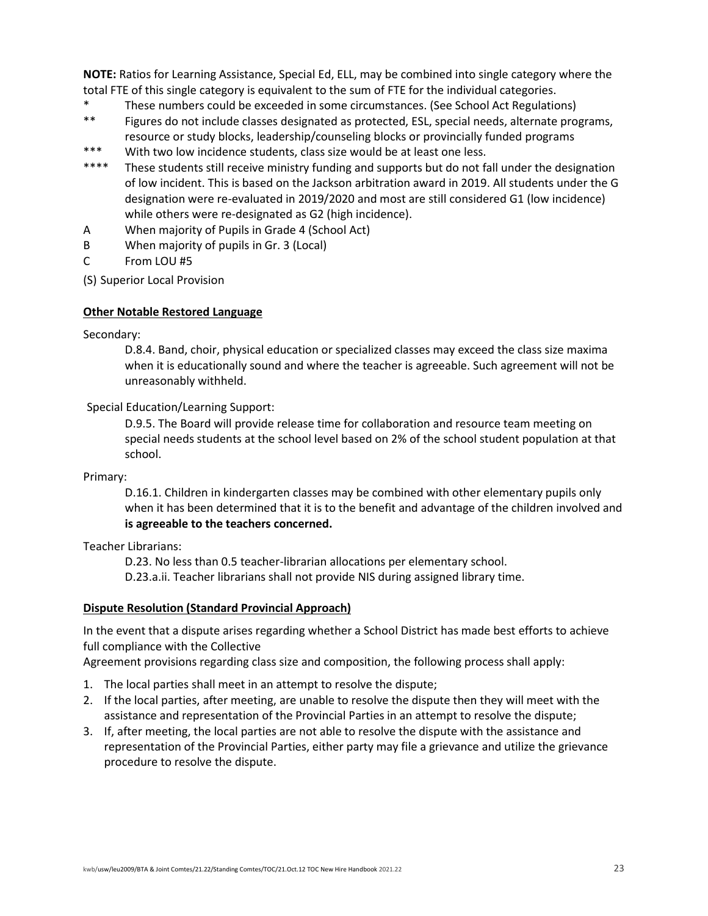**NOTE:** Ratios for Learning Assistance, Special Ed, ELL, may be combined into single category where the total FTE of this single category is equivalent to the sum of FTE for the individual categories.

- \* These numbers could be exceeded in some circumstances. (See School Act Regulations)
- \*\* Figures do not include classes designated as protected, ESL, special needs, alternate programs, resource or study blocks, leadership/counseling blocks or provincially funded programs
- \*\*\* With two low incidence students, class size would be at least one less.
- \*\*\*\* These students still receive ministry funding and supports but do not fall under the designation of low incident. This is based on the Jackson arbitration award in 2019. All students under the G designation were re-evaluated in 2019/2020 and most are still considered G1 (low incidence) while others were re-designated as G2 (high incidence).
- A When majority of Pupils in Grade 4 (School Act)
- B When majority of pupils in Gr. 3 (Local)
- C From LOU #5
- (S) Superior Local Provision

#### **Other Notable Restored Language**

#### Secondary:

D.8.4. Band, choir, physical education or specialized classes may exceed the class size maxima when it is educationally sound and where the teacher is agreeable. Such agreement will not be unreasonably withheld.

#### Special Education/Learning Support:

D.9.5. The Board will provide release time for collaboration and resource team meeting on special needs students at the school level based on 2% of the school student population at that school.

#### Primary:

D.16.1. Children in kindergarten classes may be combined with other elementary pupils only when it has been determined that it is to the benefit and advantage of the children involved and **is agreeable to the teachers concerned.**

Teacher Librarians:

D.23. No less than 0.5 teacher-librarian allocations per elementary school.

D.23.a.ii. Teacher librarians shall not provide NIS during assigned library time.

#### **Dispute Resolution (Standard Provincial Approach)**

In the event that a dispute arises regarding whether a School District has made best efforts to achieve full compliance with the Collective

Agreement provisions regarding class size and composition, the following process shall apply:

- 1. The local parties shall meet in an attempt to resolve the dispute;
- 2. If the local parties, after meeting, are unable to resolve the dispute then they will meet with the assistance and representation of the Provincial Parties in an attempt to resolve the dispute;
- 3. If, after meeting, the local parties are not able to resolve the dispute with the assistance and representation of the Provincial Parties, either party may file a grievance and utilize the grievance procedure to resolve the dispute.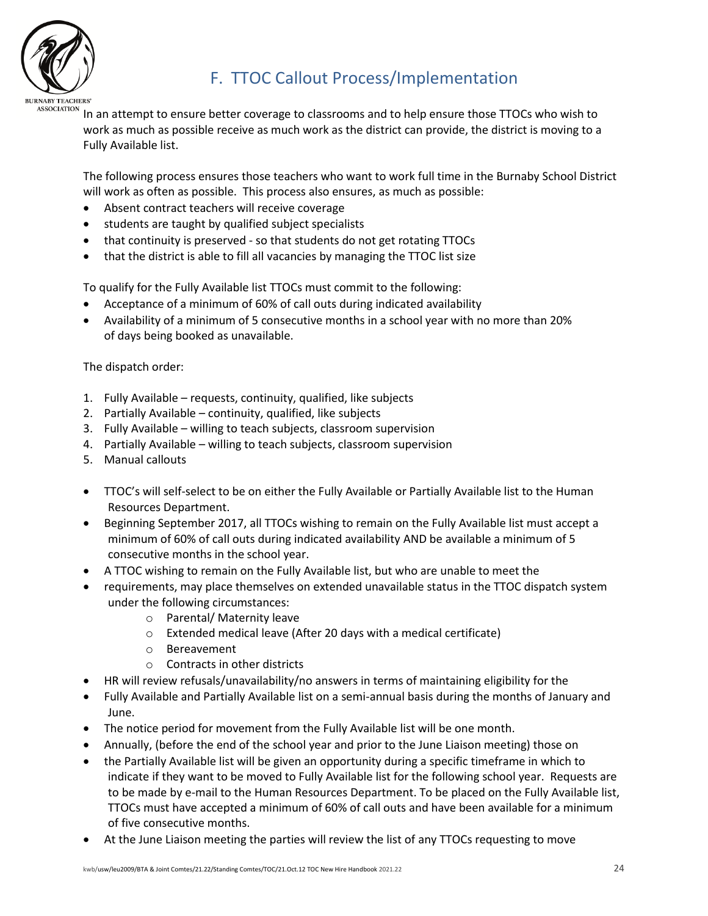

# <span id="page-23-0"></span>F. TTOC Callout Process/Implementation

In an attempt to ensure better coverage to classrooms and to help ensure those TTOCs who wish to work as much as possible receive as much work as the district can provide, the district is moving to a Fully Available list.

The following process ensures those teachers who want to work full time in the Burnaby School District will work as often as possible. This process also ensures, as much as possible:

- Absent contract teachers will receive coverage
- students are taught by qualified subject specialists
- that continuity is preserved so that students do not get rotating TTOCs
- that the district is able to fill all vacancies by managing the TTOC list size

To qualify for the Fully Available list TTOCs must commit to the following:

- Acceptance of a minimum of 60% of call outs during indicated availability
- Availability of a minimum of 5 consecutive months in a school year with no more than 20% of days being booked as unavailable.

The dispatch order:

- 1. Fully Available requests, continuity, qualified, like subjects
- 2. Partially Available continuity, qualified, like subjects
- 3. Fully Available willing to teach subjects, classroom supervision
- 4. Partially Available willing to teach subjects, classroom supervision
- 5. Manual callouts
- TTOC's will self-select to be on either the Fully Available or Partially Available list to the Human Resources Department.
- Beginning September 2017, all TTOCs wishing to remain on the Fully Available list must accept a minimum of 60% of call outs during indicated availability AND be available a minimum of 5 consecutive months in the school year.
- A TTOC wishing to remain on the Fully Available list, but who are unable to meet the
- requirements, may place themselves on extended unavailable status in the TTOC dispatch system under the following circumstances:
	- o Parental/ Maternity leave
	- o Extended medical leave (After 20 days with a medical certificate)
	- o Bereavement
	- o Contracts in other districts
- HR will review refusals/unavailability/no answers in terms of maintaining eligibility for the
- Fully Available and Partially Available list on a semi-annual basis during the months of January and June.
- The notice period for movement from the Fully Available list will be one month.
- Annually, (before the end of the school year and prior to the June Liaison meeting) those on
- the Partially Available list will be given an opportunity during a specific timeframe in which to indicate if they want to be moved to Fully Available list for the following school year. Requests are to be made by e-mail to the Human Resources Department. To be placed on the Fully Available list, TTOCs must have accepted a minimum of 60% of call outs and have been available for a minimum of five consecutive months.
- At the June Liaison meeting the parties will review the list of any TTOCs requesting to move